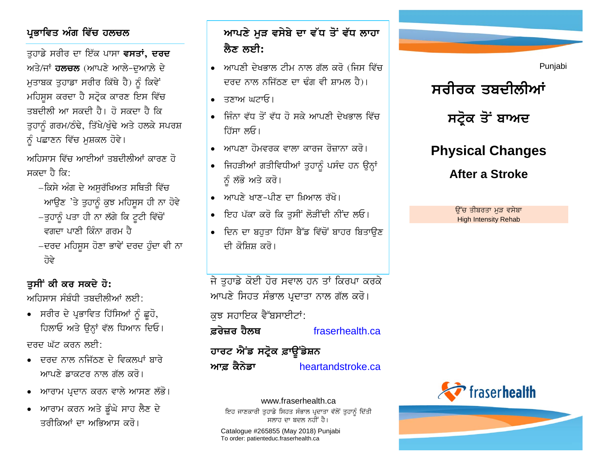#### ਪ੍ਰਭਾਵਿਤ ਅੰਗ ਵਿੱਚ ਹਲ**ਚਲ**

ਤਹਾਡੇ ਸਰੀਰ ਦਾ ਇੱਕ ਪਾਸਾ **ਵਸਤਾਂ, ਦਰਦ** ਅਤੇ/ਜਾਂ **ਹਲਚਲ** (ਆਪਣੇ ਆਲੇ-ਦਆਲ਼ੇ ਦੇ <u>ਮਤਾਬਕ ਤੁਹਾਡਾ ਸਰੀਰ ਕਿੱਥੇ ਹੈ) ਨੂੰ ਕਿਵੇਂ</u> ਮਹਿਸੁਸ ਕਰਦਾ ਹੈ ਸਟ੍ਰੋਕ ਕਾਰਣ ਇਸ ਵਿੱਚ ਤਸ਼ਦੀਲੀ ਆ ਸਕਦੀ ਹੈ। ਹੋ ਸਕਦਾ ਹੈ ਕਿ ਤੁਹਾਨੂੰ ਗਰਮ/ਠੰਢੇ, ਤਿੱਖੇ/ਖੁੰਢੇ ਅਤੇ ਹਲਕੇ ਸਪਰਸ਼ ਨੂੰ ਪਛਾਣਨ ਵਿੱਚ ਮੁਸ਼ਕਲ ਹੋਵੇ।

ਅਹਿਸਾਸ ਵਿੱਚ ਆਈਆਂ ਤਬਦੀਲੀਆਂ ਕਾਰਣ ਹੋ ਸਕਦਾ ਹੈ ਕਿ:

−ਕਿਸੇ ਅੰਗ ਦੇ ਅਸਰੱਖਿਅਤ ਸਥਿਤੀ ਵਿੱਚ ਆਉਣ 'ਤੇ ਤੁਹਾਨੂੰ ਕੁਝ ਮਹਿਸਸ ਹੀ ਨਾ ਹੋਵੇ −ਤੁਹਾਨੂੰ ਪਤਾ ਹੀ ਨਾ ਲੱਗੇ ਕਿ ਟੁਟੀ ਵਿੱਚੋਂ ਵਗਦਾ ਪਾਣੀ ਕਿੰਨਾ ਗਰਮ ਹੈ −ਦਰਦ ਮਹਿਸਸ ਹੋਣਾ ਭਾਵੇਂ ਦਰਦ ਹੁੰਦਾ ਵੀ ਨਾ ੋਵੇ

#### ਤਸੀਂ ਕੀ ਕਰ ਸਕਦੇ **ਹੋ**:

ਅਹਿਸਾਸ ਸੰਬੰਧੀ ਤਬਦੀਲੀਆਂ ਲਈ $\cdot$ 

- ਸਰੀਰ ਦੇ ਪ੍ਰਭਾਵਿਤ ਹਿੱਸਿਆਂ ਨੂੰ ਛੂਹੋ, ਹਿਲਾਓ ਅਤੇ ਉਨ੍ਹਾਂ ਵੱਲ ਧਿਆਨ ਦਿਓ। ਦਰਦ ਘੱਟ ਕਰਨ ਲਈ $\cdot$
- $\bullet$  ਜਾਰਦ ਨਾਲ ਨਜਿੱਨਣ ਦੇ ਵਿਕਲਪਾਂ ਸਾਰੇ ਆਪਣੇ ਡਾਕਟਰ ਨਾਲ ਗੱਲ ਕਰੋ।
- ਆਰਾਮ ਪ੍ਰਦਾਨ ਕਰਨ ਵਾਲੇ ਆਸਣ ਲੱਭੋ।
- ਆਰਾਮ ਕਰਨ ਅਤੇ ਡੰਘੇ ਸਾਹ ਲੈਣ ਦੇ ਤਰੀਕਿਆਂ ਦਾ ਅਕਿਆਸ ਕਰੋ।

## *ਆਪ*ਣੇ ਮੜ ਵਸੇਬੇ ਦਾ ਵੱਧ ਤੋਂ ਵੱਧ ਲਾਹਾ <u>ਲੈਣ ਲਈ:</u>

- $\bullet$  ਅਾਪਣੀ ਦੇਖਭਾਲ ਟੀਮ ਨਾਲ ਗੱਲ ਕਰੋ (ਜਿਸ ਵਿੱਚ ਦਰਦ ਨਾਲ ਨਜਿੱਠਣ ਦਾ ਢੰਗ ਵੀ ਸ਼ਾਮਲ ਹੈ)।
- $\bullet$   $\overline{\mathsf{zz}}$ ਾਅ ਘਟਾਓ।
- ਜਿੰਨਾ ਵੱਧ ਤੋਂ ਵੱਧ ਹੋ ਸਕੇ ਆਪਣੀ ਦੇਖਕਾਲ ਵਿੱਚ ਹਿੱਸਾ ਲਓ।
- $\bullet$  ਅਾਪਣਾ ਹੋਮਵਰਕ ਵਾਲਾ ਕਾਰਜ ਰੋਜ਼ਾਨਾ ਕਰੋ।
- ਜਿਹੜੀਆਂ ਗਤੀਵਿਧੀਆਂ ਤਹਾਨੂੰ ਪਸੰਦ ਹਨ ਉਨ੍ਹਾਂ ਨੂੰ ਲੱਭੋ ਅਤੇ ਕਰੋ।
- ਆਪਣੇ ਖਾਣ-ਪੀਣ ਦਾ ਖਿਆਲ ਰੱਖੋ।
- ਇਹ ਪੱਕਾ ਕਰੋ ਕਿ ਤਸੀਂ ਲੋੜੀਂਦੀ ਨੀਂਦ ਲਓ।
- ਦਿਨ ਦਾ ਬਹਤਾ ਹਿੱਸਾ ਬੈੱਡ ਵਿੱਚੋਂ ਬਾਹਰ ਬਿਤਾਉਣ ਦੀ ਕੋਸਿਸ ਕਰੋ।

ਜੇ ਤਹਾਡੇ ਕੋਈ ਹੋਰ ਸਵਾਲ ਹਨ ਤਾਂ ਕਿਰਪਾ ਕਰਕੇ ਆਪਣੇ ਸਿਹਤ ਸੰਭਾਲ ਪ੍ਰਦਾਤਾ ਨਾਲ ਗੱਲ ਕਰੋ।

#### ਕਝ ਸਹਾਇਕ ਵੈੱਬਸਾਈਟਾਂ:

 $\vec{a}$  **k** *k kaserhealth.ca* 

# ਹਾਰਟ ਐਂਡ ਸਟ੍ਰੋਕ ਫ਼ਾਊਂਡੇਸ਼ਨ *A***rg** ਕੈਨੇਡਾ [heartandstroke.ca](http://www.heartandstroke.ca/)



Punjabi

**After a Stroke**

ਉੱਚ ਤੀਬਰਤਾ ਮੁੜ ਵਸੇਬਾ High Intensity Rehab



www.fraserhealth.ca ਇਹ ਜਾਣਕਾਰੀ ਤੁਹਾਡੇ ਸਿਹਤ ਸੰਭਾਲ ਪ੍ਰਦਾਤਾ ਵੱਲੋਂ ਤੁਹਾਨੂੰ ਦਿੱਤੀ ਸਲਾਹ ਦਾ ਬਦਲ ਨਹੀਂ ਹੈ।

Catalogue #265855 (May 2018) Punjabi To order: patienteduc.fraserhealth.ca